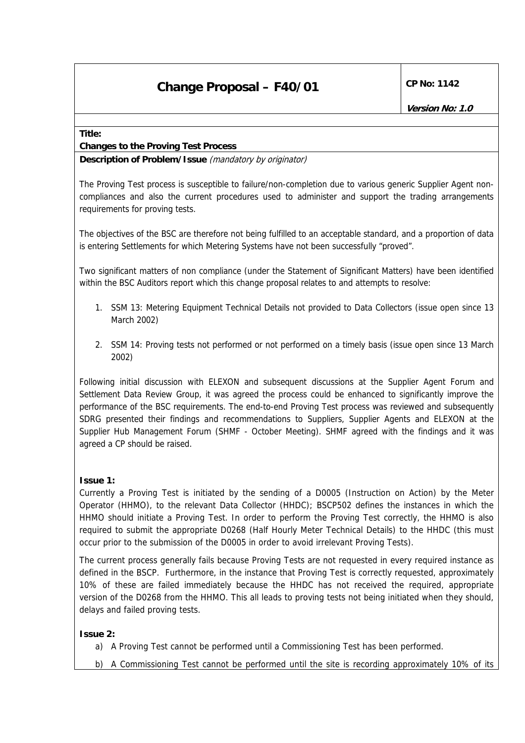#### **Title:**

### **Changes to the Proving Test Process**

**Description of Problem/Issue** (mandatory by originator)

The Proving Test process is susceptible to failure/non-completion due to various generic Supplier Agent noncompliances and also the current procedures used to administer and support the trading arrangements requirements for proving tests.

The objectives of the BSC are therefore not being fulfilled to an acceptable standard, and a proportion of data is entering Settlements for which Metering Systems have not been successfully "proved".

Two significant matters of non compliance (under the Statement of Significant Matters) have been identified within the BSC Auditors report which this change proposal relates to and attempts to resolve:

- 1. SSM 13: Metering Equipment Technical Details not provided to Data Collectors (issue open since 13 March 2002)
- 2. SSM 14: Proving tests not performed or not performed on a timely basis (issue open since 13 March 2002)

Following initial discussion with ELEXON and subsequent discussions at the Supplier Agent Forum and Settlement Data Review Group, it was agreed the process could be enhanced to significantly improve the performance of the BSC requirements. The end-to-end Proving Test process was reviewed and subsequently SDRG presented their findings and recommendations to Suppliers, Supplier Agents and ELEXON at the Supplier Hub Management Forum (SHMF - October Meeting). SHMF agreed with the findings and it was agreed a CP should be raised.

### **Issue 1:**

Currently a Proving Test is initiated by the sending of a D0005 (Instruction on Action) by the Meter Operator (HHMO), to the relevant Data Collector (HHDC); BSCP502 defines the instances in which the HHMO should initiate a Proving Test. In order to perform the Proving Test correctly, the HHMO is also required to submit the appropriate D0268 (Half Hourly Meter Technical Details) to the HHDC (this must occur prior to the submission of the D0005 in order to avoid irrelevant Proving Tests).

The current process generally fails because Proving Tests are not requested in every required instance as defined in the BSCP. Furthermore, in the instance that Proving Test is correctly requested, approximately 10% of these are failed immediately because the HHDC has not received the required, appropriate version of the D0268 from the HHMO. This all leads to proving tests not being initiated when they should, delays and failed proving tests.

## **Issue 2:**

- a) A Proving Test cannot be performed until a Commissioning Test has been performed.
- b) A Commissioning Test cannot be performed until the site is recording approximately 10% of its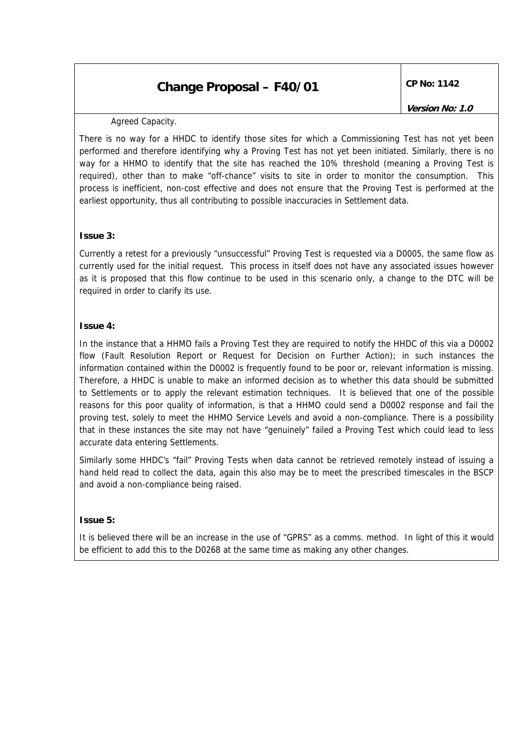### Agreed Capacity.

There is no way for a HHDC to identify those sites for which a Commissioning Test has not yet been performed and therefore identifying why a Proving Test has not yet been initiated. Similarly, there is no way for a HHMO to identify that the site has reached the 10% threshold (meaning a Proving Test is required), other than to make "off-chance" visits to site in order to monitor the consumption. This process is inefficient, non-cost effective and does not ensure that the Proving Test is performed at the earliest opportunity, thus all contributing to possible inaccuracies in Settlement data.

#### **Issue 3:**

Currently a retest for a previously "unsuccessful" Proving Test is requested via a D0005, the same flow as currently used for the initial request. This process in itself does not have any associated issues however as it is proposed that this flow continue to be used in this scenario only, a change to the DTC will be required in order to clarify its use.

### **Issue 4:**

In the instance that a HHMO fails a Proving Test they are required to notify the HHDC of this via a D0002 flow (Fault Resolution Report or Request for Decision on Further Action); in such instances the information contained within the D0002 is frequently found to be poor or, relevant information is missing. Therefore, a HHDC is unable to make an informed decision as to whether this data should be submitted to Settlements or to apply the relevant estimation techniques. It is believed that one of the possible reasons for this poor quality of information, is that a HHMO could send a D0002 response and fail the proving test, solely to meet the HHMO Service Levels and avoid a non-compliance. There is a possibility that in these instances the site may not have "genuinely" failed a Proving Test which could lead to less accurate data entering Settlements.

Similarly some HHDC's "fail" Proving Tests when data cannot be retrieved remotely instead of issuing a hand held read to collect the data, again this also may be to meet the prescribed timescales in the BSCP and avoid a non-compliance being raised.

### **Issue 5:**

It is believed there will be an increase in the use of "GPRS" as a comms. method. In light of this it would be efficient to add this to the D0268 at the same time as making any other changes.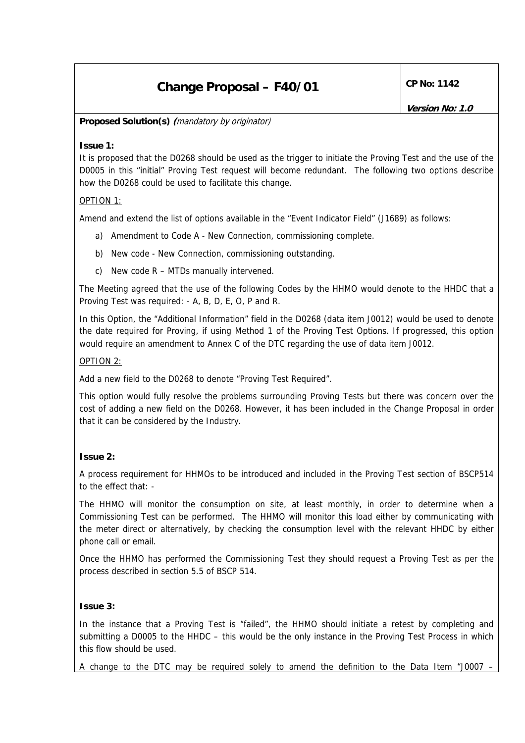**Version No: 1.0** 

### **Proposed Solution(s) (**mandatory by originator)

### **Issue 1:**

It is proposed that the D0268 should be used as the trigger to initiate the Proving Test and the use of the D0005 in this "initial" Proving Test request will become redundant. The following two options describe how the D0268 could be used to facilitate this change.

### OPTION 1:

Amend and extend the list of options available in the "Event Indicator Field" (J1689) as follows:

- a) Amendment to Code A New Connection, commissioning complete.
- b) New code New Connection, commissioning outstanding.
- c) New code  $R MTDs$  manually intervened.

The Meeting agreed that the use of the following Codes by the HHMO would denote to the HHDC that a Proving Test was required: - A, B, D, E, O, P and R.

In this Option, the "Additional Information" field in the D0268 (data item J0012) would be used to denote the date required for Proving, if using Method 1 of the Proving Test Options. If progressed, this option would require an amendment to Annex C of the DTC regarding the use of data item J0012.

### OPTION 2:

Add a new field to the D0268 to denote "Proving Test Required".

This option would fully resolve the problems surrounding Proving Tests but there was concern over the cost of adding a new field on the D0268. However, it has been included in the Change Proposal in order that it can be considered by the Industry.

## **Issue 2:**

A process requirement for HHMOs to be introduced and included in the Proving Test section of BSCP514 to the effect that: -

The HHMO will monitor the consumption on site, at least monthly, in order to determine when a Commissioning Test can be performed. The HHMO will monitor this load either by communicating with the meter direct or alternatively, by checking the consumption level with the relevant HHDC by either phone call or email.

Once the HHMO has performed the Commissioning Test they should request a Proving Test as per the process described in section 5.5 of BSCP 514.

### **Issue 3:**

In the instance that a Proving Test is "failed", the HHMO should initiate a retest by completing and submitting a D0005 to the HHDC – this would be the only instance in the Proving Test Process in which this flow should be used.

A change to the DTC may be required solely to amend the definition to the Data Item "J0007 –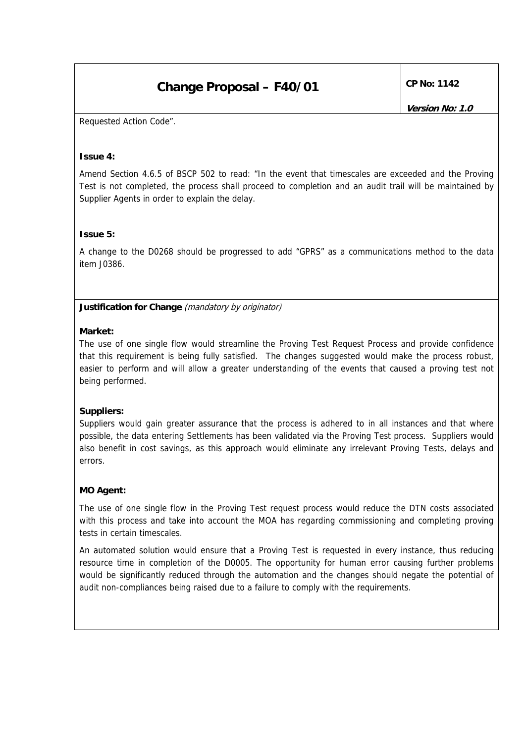Requested Action Code".

### **Issue 4:**

Amend Section 4.6.5 of BSCP 502 to read: "In the event that timescales are exceeded and the Proving Test is not completed, the process shall proceed to completion and an audit trail will be maintained by Supplier Agents in order to explain the delay.

#### **Issue 5:**

A change to the D0268 should be progressed to add "GPRS" as a communications method to the data item J0386.

**Justification for Change** (mandatory by originator)

#### **Market:**

The use of one single flow would streamline the Proving Test Request Process and provide confidence that this requirement is being fully satisfied. The changes suggested would make the process robust, easier to perform and will allow a greater understanding of the events that caused a proving test not being performed.

### **Suppliers:**

Suppliers would gain greater assurance that the process is adhered to in all instances and that where possible, the data entering Settlements has been validated via the Proving Test process. Suppliers would also benefit in cost savings, as this approach would eliminate any irrelevant Proving Tests, delays and errors.

### **MO Agent:**

The use of one single flow in the Proving Test request process would reduce the DTN costs associated with this process and take into account the MOA has regarding commissioning and completing proving tests in certain timescales.

An automated solution would ensure that a Proving Test is requested in every instance, thus reducing resource time in completion of the D0005. The opportunity for human error causing further problems would be significantly reduced through the automation and the changes should negate the potential of audit non-compliances being raised due to a failure to comply with the requirements.